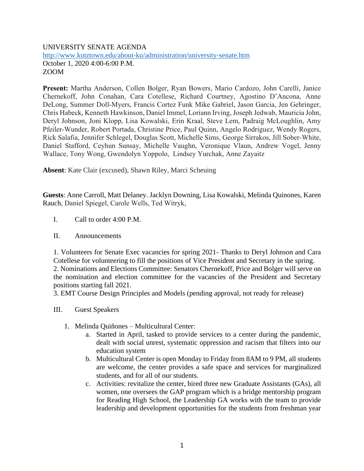## UNIVERSITY SENATE AGENDA <http://www.kutztown.edu/about-ku/administration/university-senate.htm> October 1, 2020 4:00-6:00 P.M. ZOOM

**Present:** Martha Anderson, Collen Bolger, Ryan Bowers, Mario Cardozo, John Carelli, Janice Chernekoff, John Conahan, Cara Cotellese, Richard Courtney, Agostino D'Ancona, Anne DeLong, Summer Doll-Myers, Francis Cortez Funk Mike Gabriel, Jason Garcia, Jen Gehringer, Chris Habeck, Kenneth Hawkinson, Daniel Immel, Loriann Irving, Joseph Jedwab, Mauricia John, Deryl Johnson, Joni Klopp, Lisa Kowalski, Erin Kraal, Steve Lem, Padraig McLoughlin, Amy Pfeiler-Wunder, Robert Portada, Christine Price, Paul Quinn, Angelo Rodriguez, Wendy Rogers, Rick Salafia, Jennifer Schlegel, Douglas Scott, Michelle Sims, George Sirrakos, Jill Sober-White, Daniel Stafford, Ceyhun Sunsay, Michelle Vaughn, Veronique Vlaun, Andrew Vogel, Jenny Wallace, Tony Wong, Gwendolyn Yoppolo, Lindsey Yurchak, Anne Zayaitz

**Absent**: Kate Clair (excused), Shawn Riley, Marci Scheuing

**Guests**: Anne Carroll, Matt Delaney. Jacklyn Downing, Lisa Kowalski, Melinda Quinones, Karen Rauch, Daniel Spiegel, Carole Wells, Ted Witryk,

- I. Call to order 4:00 P.M.
- II. Announcements

1. Volunteers for Senate Exec vacancies for spring 2021- Thanks to Deryl Johnson and Cara Cotellese for volunteering to fill the positions of Vice President and Secretary in the spring. 2. Nominations and Elections Committee: Senators Chernekoff, Price and Bolger will serve on the nomination and election committee for the vacancies of the President and Secretary positions starting fall 2021.

3. EMT Course Design Principles and Models (pending approval, not ready for release)

- III. Guest Speakers
	- 1. Melinda Quiñones Multicultural Center:
		- a. Started in April, tasked to provide services to a center during the pandemic, dealt with social unrest, systematic oppression and racism that filters into our education system
		- b. Multicultural Center is open Monday to Friday from 8AM to 9 PM, all students are welcome, the center provides a safe space and services for marginalized students, and for all of our students.
		- c. Activities: revitalize the center, hired three new Graduate Assistants (GAs), all women, one oversees the GAP program which is a bridge mentorship program for Reading High School, the Leadership GA works with the team to provide leadership and development opportunities for the students from freshman year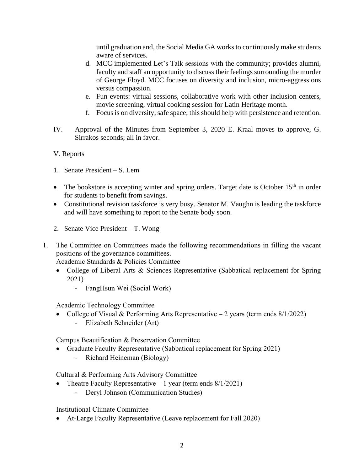until graduation and, the Social Media GA works to continuously make students aware of services.

- d. MCC implemented Let's Talk sessions with the community; provides alumni, faculty and staff an opportunity to discuss their feelings surrounding the murder of George Floyd. MCC focuses on diversity and inclusion, micro-aggressions versus compassion.
- e. Fun events: virtual sessions, collaborative work with other inclusion centers, movie screening, virtual cooking session for Latin Heritage month.
- f. Focus is on diversity, safe space; this should help with persistence and retention.
- IV. Approval of the Minutes from September 3, 2020 E. Kraal moves to approve, G. Sirrakos seconds; all in favor.

# V. Reports

- 1. Senate President S. Lem
- The bookstore is accepting winter and spring orders. Target date is October  $15<sup>th</sup>$  in order for students to benefit from savings.
- Constitutional revision taskforce is very busy. Senator M. Vaughn is leading the taskforce and will have something to report to the Senate body soon.
- 2. Senate Vice President T. Wong
- 1. The Committee on Committees made the following recommendations in filling the vacant positions of the governance committees.

Academic Standards & Policies Committee

- College of Liberal Arts & Sciences Representative (Sabbatical replacement for Spring 2021)
	- FangHsun Wei (Social Work)

Academic Technology Committee

• College of Visual & Performing Arts Representative – 2 years (term ends 8/1/2022) - Elizabeth Schneider (Art)

Campus Beautification & Preservation Committee

- Graduate Faculty Representative (Sabbatical replacement for Spring 2021)
	- Richard Heineman (Biology)

Cultural & Performing Arts Advisory Committee

- Theatre Faculty Representative 1 year (term ends  $8/1/2021$ )
	- Deryl Johnson (Communication Studies)

Institutional Climate Committee

• At-Large Faculty Representative (Leave replacement for Fall 2020)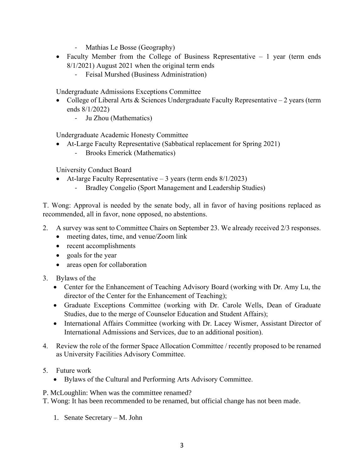- Mathias Le Bosse (Geography)
- Faculty Member from the College of Business Representative 1 year (term ends 8/1/2021) August 2021 when the original term ends
	- Feisal Murshed (Business Administration)

Undergraduate Admissions Exceptions Committee

- College of Liberal Arts & Sciences Undergraduate Faculty Representative 2 years (term ends 8/1/2022)
	- Ju Zhou (Mathematics)

Undergraduate Academic Honesty Committee

- At-Large Faculty Representative (Sabbatical replacement for Spring 2021)
	- Brooks Emerick (Mathematics)

University Conduct Board

- At-large Faculty Representative  $-3$  years (term ends  $8/1/2023$ )
	- Bradley Congelio (Sport Management and Leadership Studies)

T. Wong: Approval is needed by the senate body, all in favor of having positions replaced as recommended, all in favor, none opposed, no abstentions.

- 2. A survey was sent to Committee Chairs on September 23. We already received 2/3 responses.
	- meeting dates, time, and venue/Zoom link
	- recent accomplishments
	- goals for the year
	- areas open for collaboration
- 3. Bylaws of the
	- Center for the Enhancement of Teaching Advisory Board (working with Dr. Amy Lu, the director of the Center for the Enhancement of Teaching);
	- Graduate Exceptions Committee (working with Dr. Carole Wells, Dean of Graduate Studies, due to the merge of Counselor Education and Student Affairs);
	- International Affairs Committee (working with Dr. Lacey Wismer, Assistant Director of International Admissions and Services, due to an additional position).
- 4. Review the role of the former Space Allocation Committee / recently proposed to be renamed as University Facilities Advisory Committee.
- 5. Future work
	- Bylaws of the Cultural and Performing Arts Advisory Committee.

P. McLoughlin: When was the committee renamed?

T. Wong: It has been recommended to be renamed, but official change has not been made.

1. Senate Secretary – M. John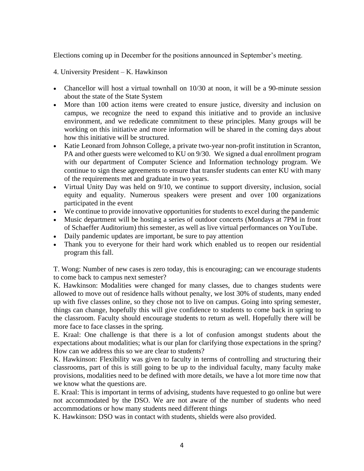Elections coming up in December for the positions announced in September's meeting.

4. University President – K. Hawkinson

- Chancellor will host a virtual townhall on 10/30 at noon, it will be a 90-minute session about the state of the State System
- More than 100 action items were created to ensure justice, diversity and inclusion on campus, we recognize the need to expand this initiative and to provide an inclusive environment, and we rededicate commitment to these principles. Many groups will be working on this initiative and more information will be shared in the coming days about how this initiative will be structured.
- Katie Leonard from Johnson College, a private two-year non-profit institution in Scranton, PA and other guests were welcomed to KU on 9/30. We signed a dual enrollment program with our department of Computer Science and Information technology program. We continue to sign these agreements to ensure that transfer students can enter KU with many of the requirements met and graduate in two years.
- Virtual Unity Day was held on 9/10, we continue to support diversity, inclusion, social equity and equality. Numerous speakers were present and over 100 organizations participated in the event
- We continue to provide innovative opportunities for students to excel during the pandemic
- Music department will be hosting a series of outdoor concerts (Mondays at 7PM in front of Schaeffer Auditorium) this semester, as well as live virtual performances on YouTube.
- Daily pandemic updates are important, be sure to pay attention
- Thank you to everyone for their hard work which enabled us to reopen our residential program this fall.

T. Wong: Number of new cases is zero today, this is encouraging; can we encourage students to come back to campus next semester?

K. Hawkinson: Modalities were changed for many classes, due to changes students were allowed to move out of residence halls without penalty, we lost 30% of students, many ended up with five classes online, so they chose not to live on campus. Going into spring semester, things can change, hopefully this will give confidence to students to come back in spring to the classroom. Faculty should encourage students to return as well. Hopefully there will be more face to face classes in the spring.

E. Kraal: One challenge is that there is a lot of confusion amongst students about the expectations about modalities; what is our plan for clarifying those expectations in the spring? How can we address this so we are clear to students?

K. Hawkinson: Flexibility was given to faculty in terms of controlling and structuring their classrooms, part of this is still going to be up to the individual faculty, many faculty make provisions, modalities need to be defined with more details, we have a lot more time now that we know what the questions are.

E. Kraal: This is important in terms of advising, students have requested to go online but were not accommodated by the DSO. We are not aware of the number of students who need accommodations or how many students need different things

K. Hawkinson: DSO was in contact with students, shields were also provided.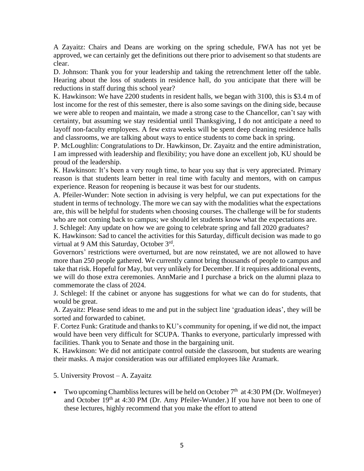A Zayaitz: Chairs and Deans are working on the spring schedule, FWA has not yet be approved, we can certainly get the definitions out there prior to advisement so that students are clear.

D. Johnson: Thank you for your leadership and taking the retrenchment letter off the table. Hearing about the loss of students in residence hall, do you anticipate that there will be reductions in staff during this school year?

K. Hawkinson: We have 2200 students in resident halls, we began with 3100, this is \$3.4 m of lost income for the rest of this semester, there is also some savings on the dining side, because we were able to reopen and maintain, we made a strong case to the Chancellor, can't say with certainty, but assuming we stay residential until Thanksgiving, I do not anticipate a need to layoff non-faculty employees. A few extra weeks will be spent deep cleaning residence halls and classrooms, we are talking about ways to entice students to come back in spring.

P. McLoughlin: Congratulations to Dr. Hawkinson, Dr. Zayaitz and the entire administration, I am impressed with leadership and flexibility; you have done an excellent job, KU should be proud of the leadership.

K. Hawkinson: It's been a very rough time, to hear you say that is very appreciated. Primary reason is that students learn better in real time with faculty and mentors, with on campus experience. Reason for reopening is because it was best for our students.

A. Pfeiler-Wunder: Note section in advising is very helpful, we can put expectations for the student in terms of technology. The more we can say with the modalities what the expectations are, this will be helpful for students when choosing courses. The challenge will be for students who are not coming back to campus; we should let students know what the expectations are.

J. Schlegel: Any update on how we are going to celebrate spring and fall 2020 graduates?

K. Hawkinson: Sad to cancel the activities for this Saturday, difficult decision was made to go virtual at 9 AM this Saturday, October 3rd.

Governors' restrictions were overturned, but are now reinstated, we are not allowed to have more than 250 people gathered. We currently cannot bring thousands of people to campus and take that risk. Hopeful for May, but very unlikely for December. If it requires additional events, we will do those extra ceremonies. AnnMarie and I purchase a brick on the alumni plaza to commemorate the class of 2024.

J. Schlegel: If the cabinet or anyone has suggestions for what we can do for students, that would be great.

A. Zayaitz: Please send ideas to me and put in the subject line 'graduation ideas', they will be sorted and forwarded to cabinet.

F. Cortez Funk: Gratitude and thanks to KU's community for opening, if we did not, the impact would have been very difficult for SCUPA. Thanks to everyone, particularly impressed with facilities. Thank you to Senate and those in the bargaining unit.

K. Hawkinson: We did not anticipate control outside the classroom, but students are wearing their masks. A major consideration was our affiliated employees like Aramark.

### 5. University Provost – A. Zayaitz

• Two upcoming Chambliss lectures will be held on October  $7<sup>th</sup>$  at 4:30 PM (Dr. Wolfmeyer) and October 19<sup>th</sup> at 4:30 PM (Dr. Amy Pfeiler-Wunder.) If you have not been to one of these lectures, highly recommend that you make the effort to attend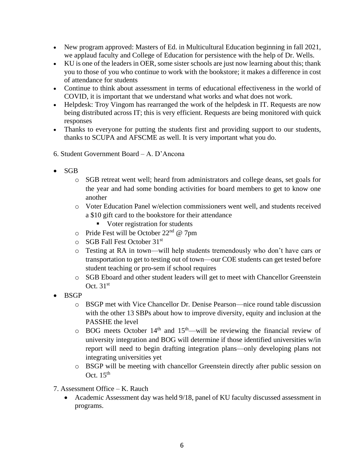- New program approved: Masters of Ed. in Multicultural Education beginning in fall 2021, we applaud faculty and College of Education for persistence with the help of Dr. Wells.
- KU is one of the leaders in OER, some sister schools are just now learning about this; thank you to those of you who continue to work with the bookstore; it makes a difference in cost of attendance for students
- Continue to think about assessment in terms of educational effectiveness in the world of COVID, it is important that we understand what works and what does not work.
- Helpdesk: Troy Vingom has rearranged the work of the helpdesk in IT. Requests are now being distributed across IT; this is very efficient. Requests are being monitored with quick responses
- Thanks to everyone for putting the students first and providing support to our students, thanks to SCUPA and AFSCME as well. It is very important what you do.
- 6. Student Government Board A. D'Ancona
- SGB
	- o SGB retreat went well; heard from administrators and college deans, set goals for the year and had some bonding activities for board members to get to know one another
	- o Voter Education Panel w/election commissioners went well, and students received a \$10 gift card to the bookstore for their attendance
		- Voter registration for students
	- $\circ$  Pride Fest will be October 22<sup>nd</sup> @ 7pm
	- o SGB Fall Fest October 31st
	- o Testing at RA in town—will help students tremendously who don't have cars or transportation to get to testing out of town—our COE students can get tested before student teaching or pro-sem if school requires
	- o SGB Eboard and other student leaders will get to meet with Chancellor Greenstein Oct.  $31<sup>st</sup>$
- BSGP
	- o BSGP met with Vice Chancellor Dr. Denise Pearson—nice round table discussion with the other 13 SBPs about how to improve diversity, equity and inclusion at the PASSHE the level
	- $\circ$  BOG meets October 14<sup>th</sup> and 15<sup>th</sup>—will be reviewing the financial review of university integration and BOG will determine if those identified universities w/in report will need to begin drafting integration plans—only developing plans not integrating universities yet
	- o BSGP will be meeting with chancellor Greenstein directly after public session on Oct.  $15<sup>th</sup>$
- 7. Assessment Office K. Rauch
	- Academic Assessment day was held 9/18, panel of KU faculty discussed assessment in programs.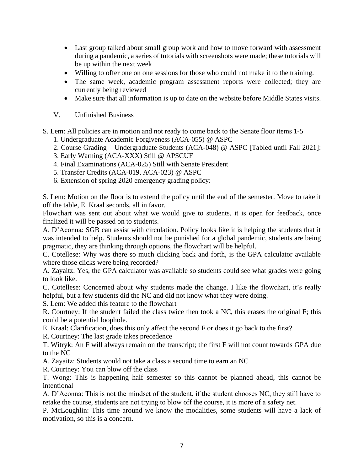- Last group talked about small group work and how to move forward with assessment during a pandemic, a series of tutorials with screenshots were made; these tutorials will be up within the next week
- Willing to offer one on one sessions for those who could not make it to the training.
- The same week, academic program assessment reports were collected; they are currently being reviewed
- Make sure that all information is up to date on the website before Middle States visits.
- V. Unfinished Business

S. Lem: All policies are in motion and not ready to come back to the Senate floor items 1-5

- 1. Undergraduate Academic Forgiveness (ACA-055) @ ASPC
- 2. Course Grading Undergraduate Students (ACA-048) @ ASPC [Tabled until Fall 2021]:
- 3. Early Warning (ACA-XXX) Still @ APSCUF
- 4. Final Examinations (ACA-025) Still with Senate President
- 5. Transfer Credits (ACA-019, ACA-023) @ ASPC
- 6. Extension of spring 2020 emergency grading policy:

S. Lem: Motion on the floor is to extend the policy until the end of the semester. Move to take it off the table, E. Kraal seconds, all in favor.

Flowchart was sent out about what we would give to students, it is open for feedback, once finalized it will be passed on to students.

A. D'Aconna: SGB can assist with circulation. Policy looks like it is helping the students that it was intended to help. Students should not be punished for a global pandemic, students are being pragmatic, they are thinking through options, the flowchart will be helpful.

C. Cotellese: Why was there so much clicking back and forth, is the GPA calculator available where those clicks were being recorded?

A. Zayaitz: Yes, the GPA calculator was available so students could see what grades were going to look like.

C. Cotellese: Concerned about why students made the change. I like the flowchart, it's really helpful, but a few students did the NC and did not know what they were doing.

S. Lem: We added this feature to the flowchart

R. Courtney: If the student failed the class twice then took a NC, this erases the original F; this could be a potential loophole.

E. Kraal: Clarification, does this only affect the second F or does it go back to the first?

R. Courtney: The last grade takes precedence

T. Witryk: An F will always remain on the transcript; the first F will not count towards GPA due to the NC

A. Zayaitz: Students would not take a class a second time to earn an NC

R. Courtney: You can blow off the class

T. Wong: This is happening half semester so this cannot be planned ahead, this cannot be intentional

A. D'Aconna: This is not the mindset of the student, if the student chooses NC, they still have to retake the course, students are not trying to blow off the course, it is more of a safety net.

P. McLoughlin: This time around we know the modalities, some students will have a lack of motivation, so this is a concern.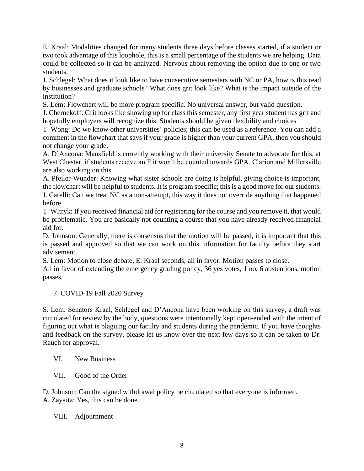E. Kraal: Modalities changed for many students three days before classes started, if a student or two took advantage of this loophole, this is a small percentage of the students we are helping. Data could be collected so it can be analyzed. Nervous about removing the option due to one or two students.

J. Schlegel: What does it look like to have consecutive semesters with NC or PA, how is this read by businesses and graduate schools? What does grit look like? What is the impact outside of the institution?

S. Lem: Flowchart will be more program specific. No universal answer, but valid question.

J. Chernekoff: Grit looks like showing up for class this semester, any first year student has grit and hopefully employers will recognize this. Students should be given flexibility and choices

T. Wong: Do we know other universities' policies; this can be used as a reference. You can add a comment in the flowchart that says if your grade is higher than your current GPA, then you should not change your grade.

A. D'Ancona: Mansfield is currently working with their university Senate to advocate for this, at West Chester, if students receive an F it won't be counted towards GPA, Clarion and Millersville are also working on this.

A. Pfeiler-Wunder: Knowing what sister schools are doing is helpful, giving choice is important, the flowchart will be helpful to students. It is program specific; this is a good move for our students. J. Carelli: Can we treat NC as a non-attempt, this way it does not override anything that happened before.

T. Witryk: If you received financial aid for registering for the course and you remove it, that would be problematic. You are basically not counting a course that you have already received financial aid for.

D. Johnson: Generally, there is consensus that the motion will be passed, it is important that this is passed and approved so that we can work on this information for faculty before they start advisement.

S. Lem: Motion to close debate, E. Kraal seconds; all in favor. Motion passes to close.

All in favor of extending the emergency grading policy, 36 yes votes, 1 no, 6 abstentions, motion passes.

### 7. COVID-19 Fall 2020 Survey

S. Lem: Senators Kraal, Schlegel and D'Ancona have been working on this survey, a draft was circulated for review by the body, questions were intentionally kept open-ended with the intent of figuring out what is plaguing our faculty and students during the pandemic. If you have thoughts and feedback on the survey, please let us know over the next few days so it can be taken to Dr. Rauch for approval.

### VI. New Business

VII. Good of the Order

D. Johnson: Can the signed withdrawal policy be circulated so that everyone is informed.

A. Zayaitz: Yes, this can be done.

# VIII. Adjournment